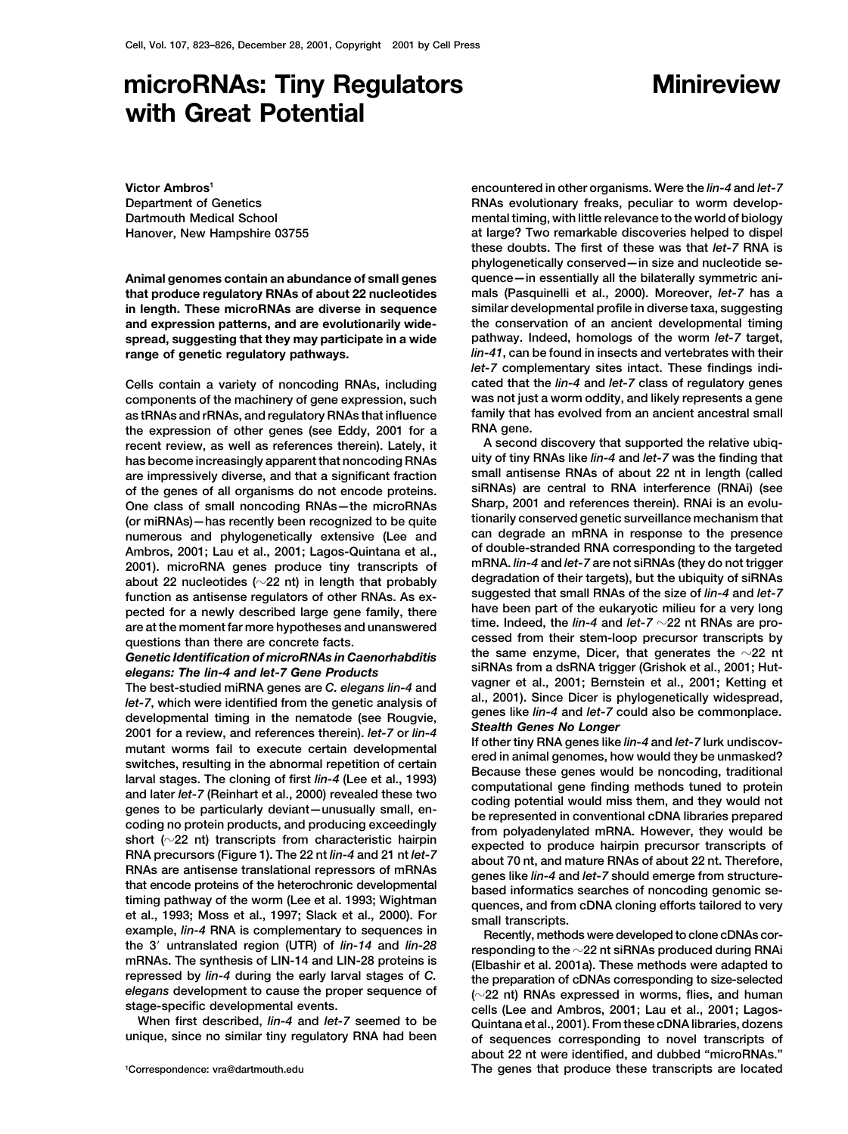# **microRNAs: Tiny Regulators Minireview with Great Potential**

**Victor Ambros1 Department of Genetics Dartmouth Medical School**

**as tRNAs and rRNAs, and regulatory RNAs that influence** family that the expression of other genes (see Eddy 2001 for a **RNA gene. the expression of other genes (see Eddy, 2001 for a has become increasingly apparent that noncoding RNAs** 

Let-7, which were identified from the genetic analysis of<br>
Let-7, which were identified from the genetic analysis of<br>
deness like lim-4 and let-7 could also be commonplace.<br>
2001 for a review, and references therein). let

**encountered in other organisms. Were the** *lin-4* **and** *let-7* **RNAs evolutionary freaks, peculiar to worm developmental timing, with little relevance to the world of biology Hanover, New Hampshire 03755 at large? Two remarkable discoveries helped to dispel these doubts. The first of these was that** *let-7* **RNA is phylogenetically conserved—in size and nucleotide se-Animal genomes contain an abundance of small genes quence—in essentially all the bilaterally symmetric anithat produce regulatory RNAs of about 22 nucleotides mals (Pasquinelli et al., 2000). Moreover,** *let-7* **has a in length. These microRNAs are diverse in sequence similar developmental profile in diverse taxa, suggesting and expression patterns, and are evolutionarily wide- the conservation of an ancient developmental timing spread, suggesting that they may participate in a wide pathway. Indeed, homologs of the worm** *let-7* **target, range of genetic regulatory pathways.** *lin-41***, can be found in insects and vertebrates with their** *let-7* **complementary sites intact. These findings indi-Cells contain a variety of noncoding RNAs, including cated that the** *lin-4* **and** *let-7* **class of regulatory genes components of the machinery of gene expression, such was not just a worm oddity, and likely represents a gene**

**A second discovery that supported the relative ubiq- recent review, as well as references therein). Lately, it are impressively diverse, and that a significant fraction small antisense RNAs of about 22 nt in length (called of the genes of all organisms do not encode proteins. siRNAs) are central to RNA interference (RNAi) (see** One class of small noncoding RNAs—the microRNAs Sharp, 2001 and references therein). RNAi is an evolu-<br>
(or miRNAs)—has recently been recognized to be quite tionarily conserved genetic surveillance mechanism that **the miral conserved genetic surveillance mechanism that**<br> **(or miRNAs)—has recently been recognized to be quite** and **can degrade an mRNA** in response to the presence **numerous and phylogenetically extensive (Lee and can degrade an mRNA in response to the presence Ambros, 2001; Lau et al., 2001; Lagos-Quintana et al., of double-stranded RNA corresponding to the targeted** 2001). microRNA genes produce tiny transcripts of mRNA. *lin-4* and *let-7* are not siRNAs (they do not trigger<br>about 22 nucleotides (~22 nt) in length that probably<br>function as antisense regulators of other RNAs. As ex-<br> Genetic Identification of microRNAs in Caenorhabditis<br>
elegans: The lin-4 and let-7 Gene Products<br>
The best-studied miRNA genes are C. elegans lin-4 and<br>
let-7 which were identified from the genetic analysis of al., 2001)

**stage-specific developmental events.**<br>When first described, *lin-4* and *let-7* seemed to be Quintana et al. 2001) Erom these cDNA libraries dozens **When first described,** *lin-4* **and** *let-7* **seemed to be Quintana et al., 2001). From these cDNA libraries, dozens** of sequences corresponding to novel transcripts of **about 22 nt were identified, and dubbed "microRNAs."** The genes that produce these transcripts are located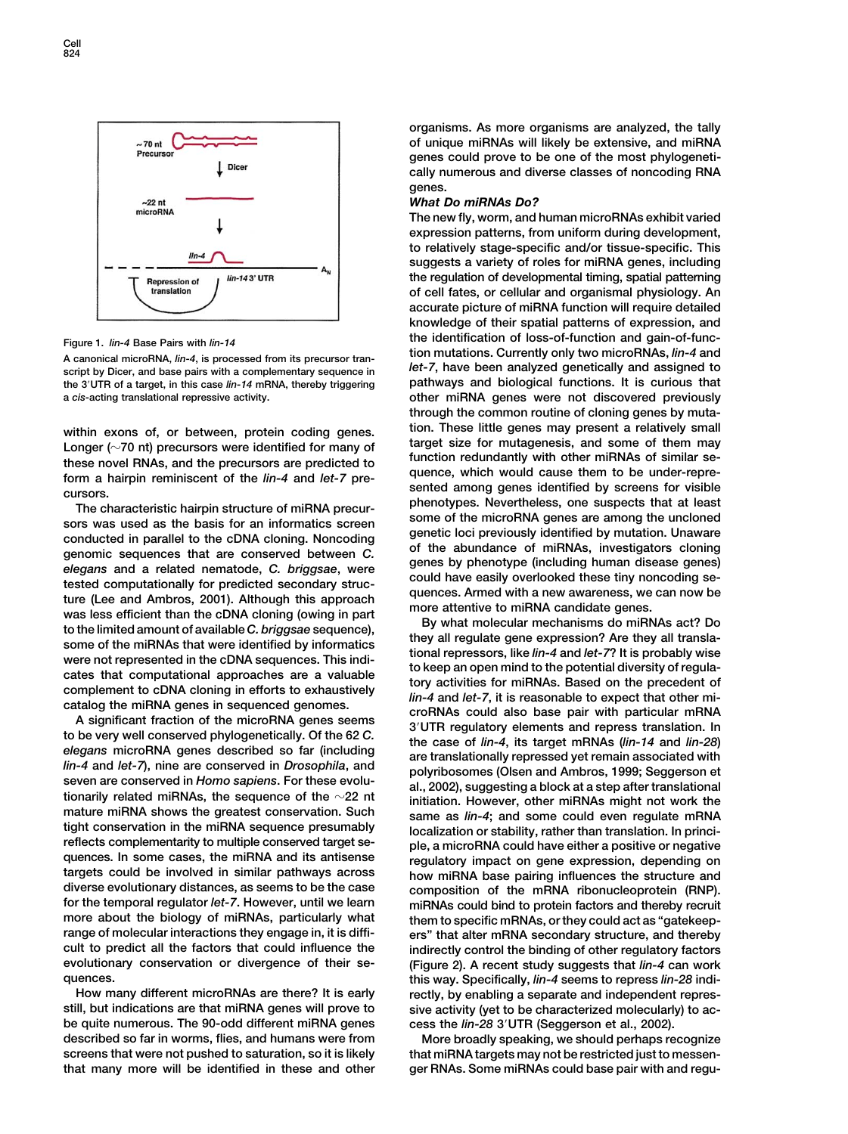

**script by Dicer, and base pairs with a complementary sequence in** *let-7***, have been analyzed genetically and assigned to** the 3<sup>'</sup>UTR of a target, in this case  $lin-14$  mRNA, thereby triggering

targets could be involved in similar pathways across a how miRNA base pairing influences the structure and diverse evolutionary distances, as seems to be the case composition of the mRNA ribonucleoprotein (RNP).<br>For the te **for the temporal regulator** *let-7***. However, until we learn miRNAs could bind to protein factors and thereby recruit more about the biology of miRNAs, particularly what them to specific mRNAs, or they could act as "gatekeeprange of molecular interactions they engage in, it is diffi- ers" that alter mRNA secondary structure, and thereby evolutionary conservation or divergence of their se- (Figure 2). A recent study suggests that** *lin-4* **can work**

How many different microRNAs are there? It is early rectly, by enabling a separate and independent repres-<br>
still, but indications are that miRNA genes will prove to sive activity (vet to be characterized molecularly) to a **be quite numerous. The 90-odd different miRNA genes cess the** *lin-28* **3UTR (Seggerson et al., 2002). described so far in worms, flies, and humans were from More broadly speaking, we should perhaps recognize screens that were not pushed to saturation, so it is likely that miRNA targets may not be restricted just to messenthat many more will be identified in these and other ger RNAs. Some miRNAs could base pair with and regu-**

**organisms. As more organisms are analyzed, the tally of unique miRNAs will likely be extensive, and miRNA genes could prove to be one of the most phylogenetically numerous and diverse classes of noncoding RNA genes.**

## *What Do miRNAs Do?*

**The new fly, worm, and human microRNAs exhibit varied expression patterns, from uniform during development, to relatively stage-specific and/or tissue-specific. This suggests a variety of roles for miRNA genes, including the regulation of developmental timing, spatial patterning of cell fates, or cellular and organismal physiology. An accurate picture of miRNA function will require detailed knowledge of their spatial patterns of expression, and the identification of loss-of-function and gain-of-func- Figure 1.** *lin-4* **Base Pairs with** *lin-14* **tion mutations. Currently only two microRNAs,** *lin-4* **and A canonical microRNA,** *lin-4***, is processed from its precursor trana** *cis***-acting translational repressive activity. other miRNA genes were not discovered previously through the common routine of cloning genes by muta**within exons of, or between, protein coding genes.<br>
Longer ( $\sim$ 70 nt) precursors were identified for many of<br>
these novel RNAs, and the precursors are predicted to<br>
form a hairpin reminiscent of the *lin-4* and *let-7* p The characteristic hairpin structure of miRNA precur-<br>The characteristic hairpin structure of miRNA precur-<br>some of the microRNA genes are among the uncloned<br>aenetic loci previously identified by mutation. Unaware

conducted in parallel to the cDNA cloning. Noncoding<br>
energic loci previously identified by mutation. Unaware<br>
elegans and a related nemated, C. briggsae, were<br>
elegans and a related nemated, C. briggsae, were<br>
elegans an indirectly control the binding of other regulatory factors **quences. this way. Specifically,** *lin-4* **seems to repress** *lin-28* **indi**sive activity (yet to be characterized molecularly) to ac-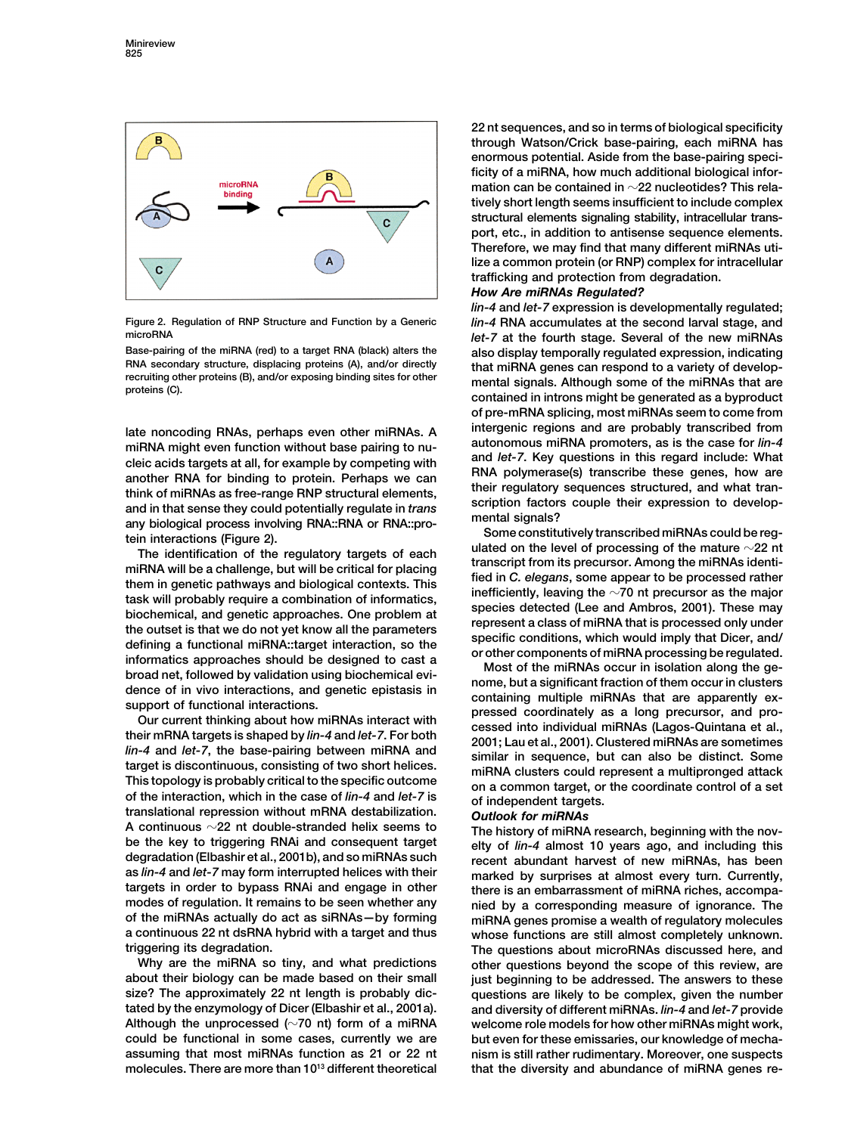

cleic acids targets at all, for example by competing with<br>another RNA for binding to protein. Perhaps we can<br>think of miRNAs as free-range RNP structural elements,<br>and in that sense they could potentially regulate in *tran* 

any biological process involving RNA::FNA or RNA::process the metration (Figure 2).<br>
The interactions (Figure 2), the scheme of the regulatory targets of each<br>
The interaction of the regulatory targets of each<br>
miRNA will

A continuous  $\sim$ 22 nt double-stranded helix seems to<br>be the key to triggering RNAi and consequent target<br>degradation (Elbashir et al., 2001b), and so miRNAs such<br>degradation (Elbashir et al., 2001b), and so miRNAs such<br>r **as** *lin-4* **and** *let-7* **may form interrupted helices with their marked by surprises at almost every turn. Currently,**

**molecules. There are more than 10 that the diversity and abundance of miRNA genes re- <sup>13</sup> different theoretical**

**22 nt sequences, and so in terms of biological specificity through Watson/Crick base-pairing, each miRNA has enormous potential. Aside from the base-pairing specificity of a miRNA, how much additional biological information can be contained in 22 nucleotides? This relatively short length seems insufficient to include complex structural elements signaling stability, intracellular transport, etc., in addition to antisense sequence elements. Therefore, we may find that many different miRNAs utilize a common protein (or RNP) complex for intracellular trafficking and protection from degradation.**

# *How Are miRNAs Regulated?*

*lin-4* **and** *let-7* **expression is developmentally regulated; Figure 2. Regulation of RNP Structure and Function by a Generic** *lin-4* **RNA accumulates at the second larval stage, and microRNA** *let-7* **at the fourth stage. Several of the new miRNAs Base-pairing of the miRNA (red) to a target RNA (black) alters the also display temporally regulated expression, indicating** HNA secondary structure, displacing proteins (A), and/or directly<br>recruiting other proteins (B), and/or exposing binding sites for other<br>proteins (C). contained in introns might be generated as a byproduct **of pre-mRNA splicing, most miRNAs seem to come from late noncoding RNAs, perhaps even other miRNAs. A intergenic regions and are probably transcribed from** miRNA might even function without base pairing to nu-<br>and let-7. Key questions in this regard include: What

**targets in order to bypass RNAi and engage in other there is an embarrassment of miRNA riches, accompa**modes of regulation. It remains to be seen whether any a nied by a corresponding measure of ignorance. The<br>of the miRNAs actually do act as siRNAs-by forming a miRNA genes promise a wealth of regulatory molecules **of the miRNAs actually do act as siRNAs—by forming miRNA genes promise a wealth of regulatory molecules a continuous 22 nt dsRNA hybrid with a target and thus whose functions are still almost completely unknown.** ggering its degradation.<br>Why are the miRNA so tiny, and what predictions other questions bevond the scope of this review, are other questions beyond the scope of this review, are **about their biology can be made based on their small just beginning to be addressed. The answers to these size? The approximately 22 nt length is probably dic- questions are likely to be complex, given the number tated by the enzymology of Dicer (Elbashir et al., 2001a). and diversity of different miRNAs.** *lin-4* **and** *let-7* **provide Although the unprocessed (70 nt) form of a miRNA welcome role models for how other miRNAs might work, could be functional in some cases, currently we are but even for these emissaries, our knowledge of mechaassuming that most miRNAs function as 21 or 22 nt nism is still rather rudimentary. Moreover, one suspects**